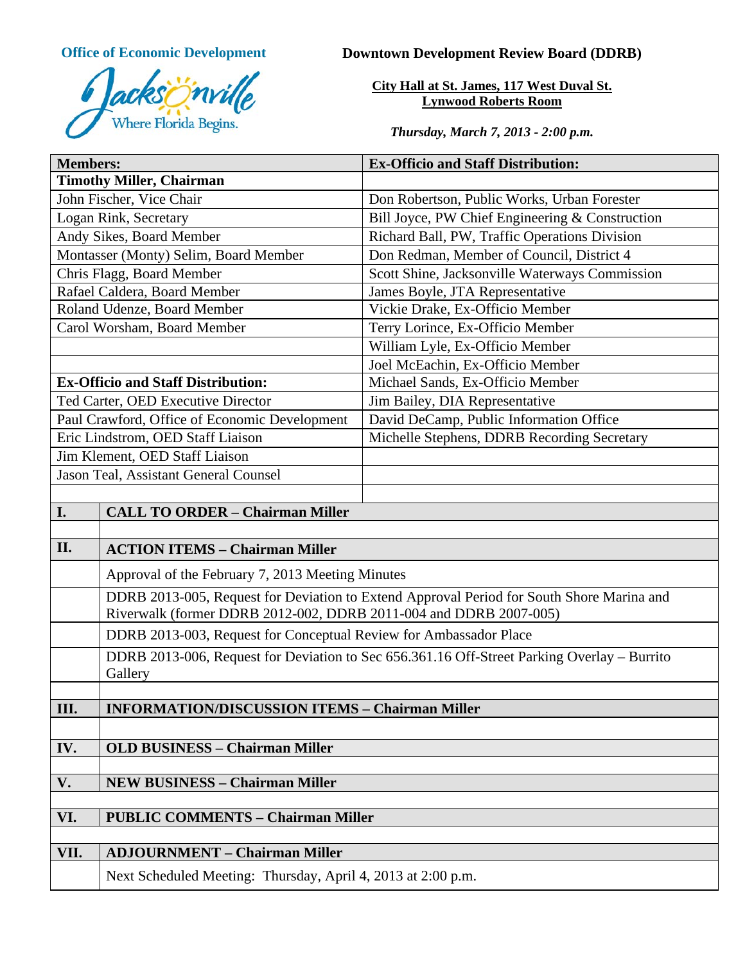

# **Office of Economic Development Downtown Development Review Board (DDRB)**

**City Hall at St. James, 117 West Duval St. Lynwood Roberts Room**

*Thursday, March 7, 2013 - 2:00 p.m.*

| <b>Members:</b>                                 |                                                                                                                                                                | <b>Ex-Officio and Staff Distribution:</b>       |
|-------------------------------------------------|----------------------------------------------------------------------------------------------------------------------------------------------------------------|-------------------------------------------------|
| <b>Timothy Miller, Chairman</b>                 |                                                                                                                                                                |                                                 |
| John Fischer, Vice Chair                        |                                                                                                                                                                | Don Robertson, Public Works, Urban Forester     |
| Logan Rink, Secretary                           |                                                                                                                                                                | Bill Joyce, PW Chief Engineering & Construction |
| Andy Sikes, Board Member                        |                                                                                                                                                                | Richard Ball, PW, Traffic Operations Division   |
| Montasser (Monty) Selim, Board Member           |                                                                                                                                                                | Don Redman, Member of Council, District 4       |
| Chris Flagg, Board Member                       |                                                                                                                                                                | Scott Shine, Jacksonville Waterways Commission  |
| Rafael Caldera, Board Member                    |                                                                                                                                                                | James Boyle, JTA Representative                 |
| Roland Udenze, Board Member                     |                                                                                                                                                                | Vickie Drake, Ex-Officio Member                 |
| Carol Worsham, Board Member                     |                                                                                                                                                                | Terry Lorince, Ex-Officio Member                |
|                                                 |                                                                                                                                                                | William Lyle, Ex-Officio Member                 |
|                                                 |                                                                                                                                                                | Joel McEachin, Ex-Officio Member                |
| <b>Ex-Officio and Staff Distribution:</b>       |                                                                                                                                                                | Michael Sands, Ex-Officio Member                |
| Ted Carter, OED Executive Director              |                                                                                                                                                                | Jim Bailey, DIA Representative                  |
| Paul Crawford, Office of Economic Development   |                                                                                                                                                                | David DeCamp, Public Information Office         |
| Eric Lindstrom, OED Staff Liaison               |                                                                                                                                                                | Michelle Stephens, DDRB Recording Secretary     |
| Jim Klement, OED Staff Liaison                  |                                                                                                                                                                |                                                 |
| Jason Teal, Assistant General Counsel           |                                                                                                                                                                |                                                 |
|                                                 |                                                                                                                                                                |                                                 |
| I.                                              | <b>CALL TO ORDER - Chairman Miller</b>                                                                                                                         |                                                 |
|                                                 |                                                                                                                                                                |                                                 |
| II.                                             | <b>ACTION ITEMS - Chairman Miller</b>                                                                                                                          |                                                 |
|                                                 | Approval of the February 7, 2013 Meeting Minutes                                                                                                               |                                                 |
|                                                 | DDRB 2013-005, Request for Deviation to Extend Approval Period for South Shore Marina and<br>Riverwalk (former DDRB 2012-002, DDRB 2011-004 and DDRB 2007-005) |                                                 |
|                                                 | DDRB 2013-003, Request for Conceptual Review for Ambassador Place                                                                                              |                                                 |
|                                                 | DDRB 2013-006, Request for Deviation to Sec 656.361.16 Off-Street Parking Overlay - Burrito<br>Gallery                                                         |                                                 |
|                                                 |                                                                                                                                                                |                                                 |
| III.                                            | <b>INFORMATION/DISCUSSION ITEMS - Chairman Miller</b>                                                                                                          |                                                 |
|                                                 |                                                                                                                                                                |                                                 |
| IV.                                             | <b>OLD BUSINESS - Chairman Miller</b>                                                                                                                          |                                                 |
|                                                 |                                                                                                                                                                |                                                 |
| V.                                              | <b>NEW BUSINESS - Chairman Miller</b>                                                                                                                          |                                                 |
|                                                 |                                                                                                                                                                |                                                 |
| VI.<br><b>PUBLIC COMMENTS - Chairman Miller</b> |                                                                                                                                                                |                                                 |
|                                                 |                                                                                                                                                                |                                                 |
| VII.                                            | <b>ADJOURNMENT - Chairman Miller</b>                                                                                                                           |                                                 |
|                                                 |                                                                                                                                                                |                                                 |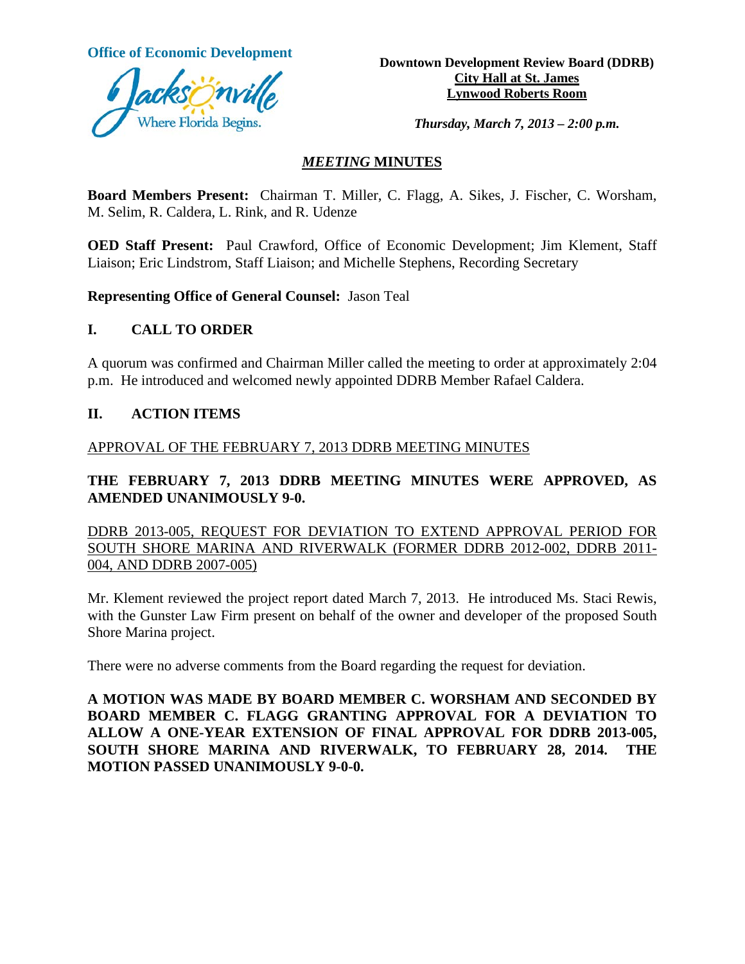

**Office of Economic Development**<br> **Downtown Development Review Board (DDRB) City Hall at St. James Lynwood Roberts Room**

*Thursday, March 7, 2013 – 2:00 p.m.*

### *MEETING* **MINUTES**

**Board Members Present:** Chairman T. Miller, C. Flagg, A. Sikes, J. Fischer, C. Worsham, M. Selim, R. Caldera, L. Rink, and R. Udenze

**OED Staff Present:** Paul Crawford, Office of Economic Development; Jim Klement, Staff Liaison; Eric Lindstrom, Staff Liaison; and Michelle Stephens, Recording Secretary

**Representing Office of General Counsel:** Jason Teal

### **I. CALL TO ORDER**

A quorum was confirmed and Chairman Miller called the meeting to order at approximately 2:04 p.m. He introduced and welcomed newly appointed DDRB Member Rafael Caldera.

#### **II. ACTION ITEMS**

#### APPROVAL OF THE FEBRUARY 7, 2013 DDRB MEETING MINUTES

# **THE FEBRUARY 7, 2013 DDRB MEETING MINUTES WERE APPROVED, AS AMENDED UNANIMOUSLY 9-0.**

DDRB 2013-005, REQUEST FOR DEVIATION TO EXTEND APPROVAL PERIOD FOR SOUTH SHORE MARINA AND RIVERWALK (FORMER DDRB 2012-002, DDRB 2011- 004, AND DDRB 2007-005)

Mr. Klement reviewed the project report dated March 7, 2013. He introduced Ms. Staci Rewis, with the Gunster Law Firm present on behalf of the owner and developer of the proposed South Shore Marina project.

There were no adverse comments from the Board regarding the request for deviation.

**A MOTION WAS MADE BY BOARD MEMBER C. WORSHAM AND SECONDED BY BOARD MEMBER C. FLAGG GRANTING APPROVAL FOR A DEVIATION TO ALLOW A ONE-YEAR EXTENSION OF FINAL APPROVAL FOR DDRB 2013-005, SOUTH SHORE MARINA AND RIVERWALK, TO FEBRUARY 28, 2014. THE MOTION PASSED UNANIMOUSLY 9-0-0.**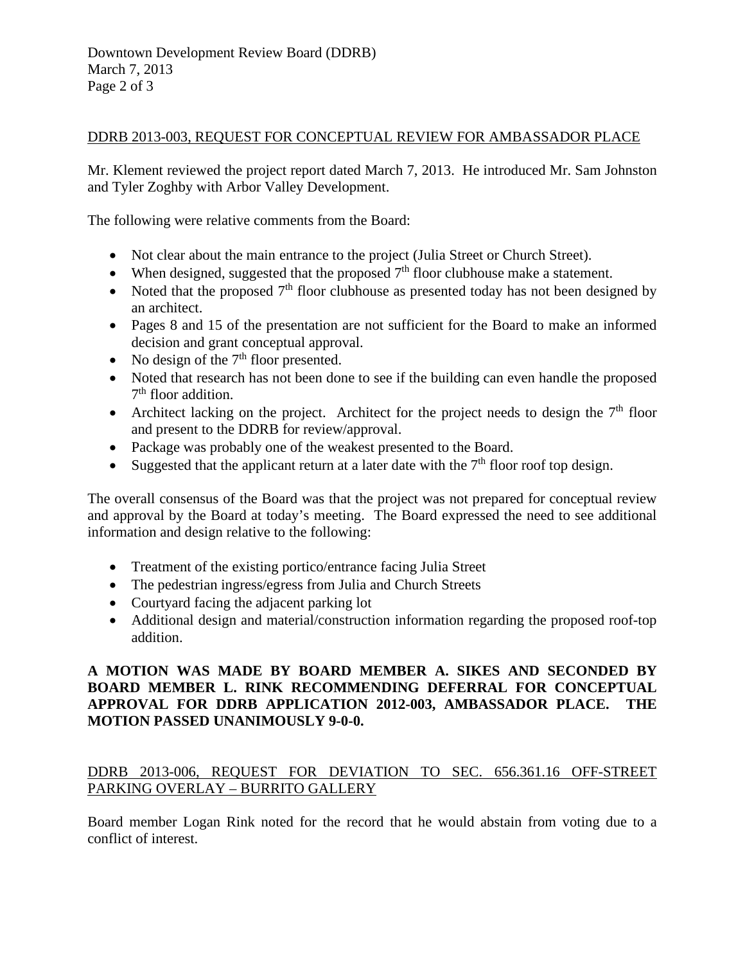#### DDRB 2013-003, REQUEST FOR CONCEPTUAL REVIEW FOR AMBASSADOR PLACE

Mr. Klement reviewed the project report dated March 7, 2013. He introduced Mr. Sam Johnston and Tyler Zoghby with Arbor Valley Development.

The following were relative comments from the Board:

- Not clear about the main entrance to the project (Julia Street or Church Street).
- When designed, suggested that the proposed  $7<sup>th</sup>$  floor clubhouse make a statement.
- Noted that the proposed  $7<sup>th</sup>$  floor clubhouse as presented today has not been designed by an architect.
- Pages 8 and 15 of the presentation are not sufficient for the Board to make an informed decision and grant conceptual approval.
- No design of the  $7<sup>th</sup>$  floor presented.
- Noted that research has not been done to see if the building can even handle the proposed  $7<sup>th</sup>$  floor addition.
- Architect lacking on the project. Architect for the project needs to design the  $7<sup>th</sup>$  floor and present to the DDRB for review/approval.
- Package was probably one of the weakest presented to the Board.
- Suggested that the applicant return at a later date with the  $7<sup>th</sup>$  floor roof top design.

The overall consensus of the Board was that the project was not prepared for conceptual review and approval by the Board at today's meeting. The Board expressed the need to see additional information and design relative to the following:

- Treatment of the existing portico/entrance facing Julia Street
- The pedestrian ingress/egress from Julia and Church Streets
- Courtyard facing the adjacent parking lot
- Additional design and material/construction information regarding the proposed roof-top addition.

# **A MOTION WAS MADE BY BOARD MEMBER A. SIKES AND SECONDED BY BOARD MEMBER L. RINK RECOMMENDING DEFERRAL FOR CONCEPTUAL APPROVAL FOR DDRB APPLICATION 2012-003, AMBASSADOR PLACE. THE MOTION PASSED UNANIMOUSLY 9-0-0.**

# DDRB 2013-006, REQUEST FOR DEVIATION TO SEC. 656.361.16 OFF-STREET PARKING OVERLAY – BURRITO GALLERY

Board member Logan Rink noted for the record that he would abstain from voting due to a conflict of interest.